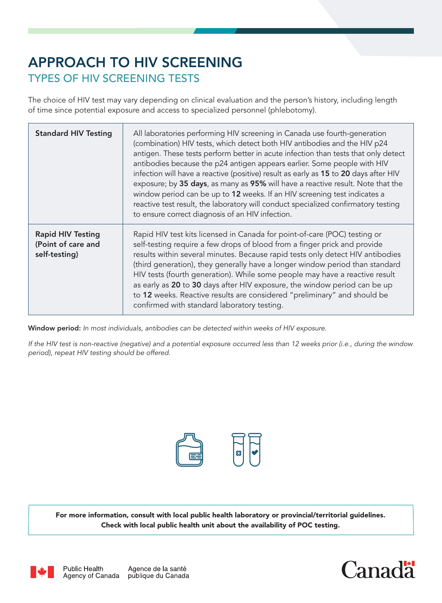# APPROACH TO HIV SCREENING TYPES OF HIV SCREENING TESTS

The choice of HIV test may vary depending on clinical evaluation and the person's history, including length of time since potential exposure and access to specialized personnel (phlebotomy).

| <b>Standard HIV Testing</b>                                     | All laboratories performing HIV screening in Canada use fourth-generation<br>(combination) HIV tests, which detect both HIV antibodies and the HIV p24<br>antigen. These tests perform better in acute infection than tests that only detect<br>antibodies because the p24 antigen appears earlier. Some people with HIV<br>infection will have a reactive (positive) result as early as 15 to 20 days after HIV<br>exposure; by 35 days, as many as 95% will have a reactive result. Note that the<br>window period can be up to 12 weeks. If an HIV screening test indicates a<br>reactive test result, the laboratory will conduct specialized confirmatory testing<br>to ensure correct diagnosis of an HIV infection. |
|-----------------------------------------------------------------|----------------------------------------------------------------------------------------------------------------------------------------------------------------------------------------------------------------------------------------------------------------------------------------------------------------------------------------------------------------------------------------------------------------------------------------------------------------------------------------------------------------------------------------------------------------------------------------------------------------------------------------------------------------------------------------------------------------------------|
| <b>Rapid HIV Testing</b><br>(Point of care and<br>self-testing) | Rapid HIV test kits licensed in Canada for point-of-care (POC) testing or<br>self-testing require a few drops of blood from a finger prick and provide<br>results within several minutes. Because rapid tests only detect HIV antibodies<br>(third generation), they generally have a longer window period than standard<br>HIV tests (fourth generation). While some people may have a reactive result<br>as early as 20 to 30 days after HIV exposure, the window period can be up<br>to 12 weeks. Reactive results are considered "preliminary" and should be<br>confirmed with standard laboratory testing.                                                                                                            |

Window period: *In most individuals, antibodies can be detected within weeks of HIV exposure.*

*If the HIV test is non-reactive (negative) and a potential exposure occurred less than 12 weeks prior (i.e., during the window period), repeat HIV testing should be offered.*



For more information, consult with local public health laboratory or provincial/territorial guidelines. Check with local public health unit about the availability of POC testing.